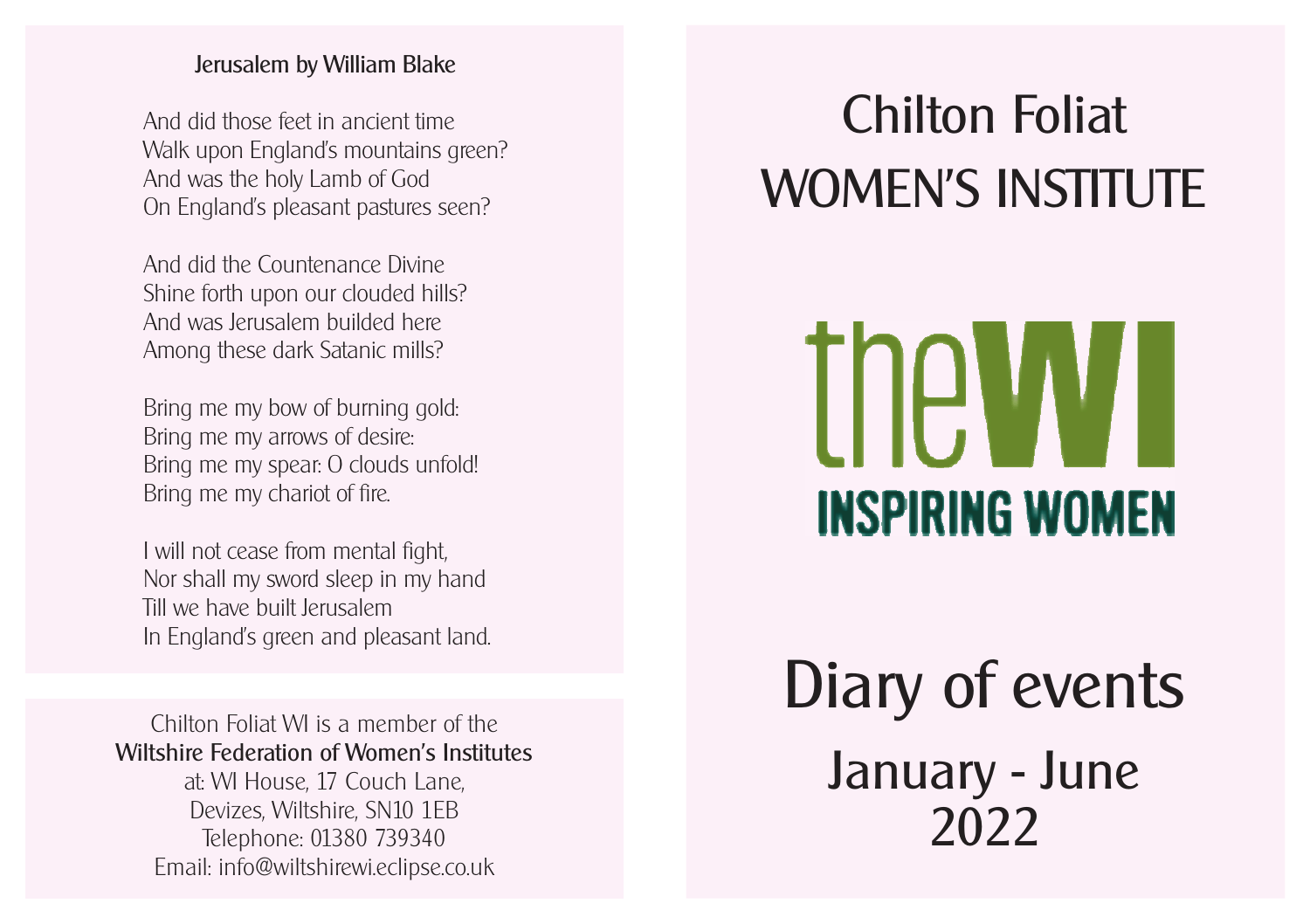## Jerusalem by William Blake

And did those feet in ancient time Walk upon England's mountains green? And was the holy Lamb of God On England's pleasant pastures seen?

And did the Countenance Divine Shine forth upon our clouded hills? And was Jerusalem builded here Among these dark Satanic mills?

Bring me my bow of burning gold: Bring me my arrows of desire: Bring me my spear: O clouds unfold! Bring me my chariot of fire.

I will not cease from mental fight, Nor shall my sword sleep in my hand Till we have built Jerusalem In England's green and pleasant land.

Chilton Foliat WI is a member of the Wiltshire Federation of Women's Institutes at: WI House, 17 Couch Lane, Devizes, Wiltshire, SN10 1EB Telephone: 01380 739340 Email: info@wiltshirewi.eclipse.co.uk

## Chilton Foliat WOMEN'S INSTITUTE



## Diary of events January - June 2022